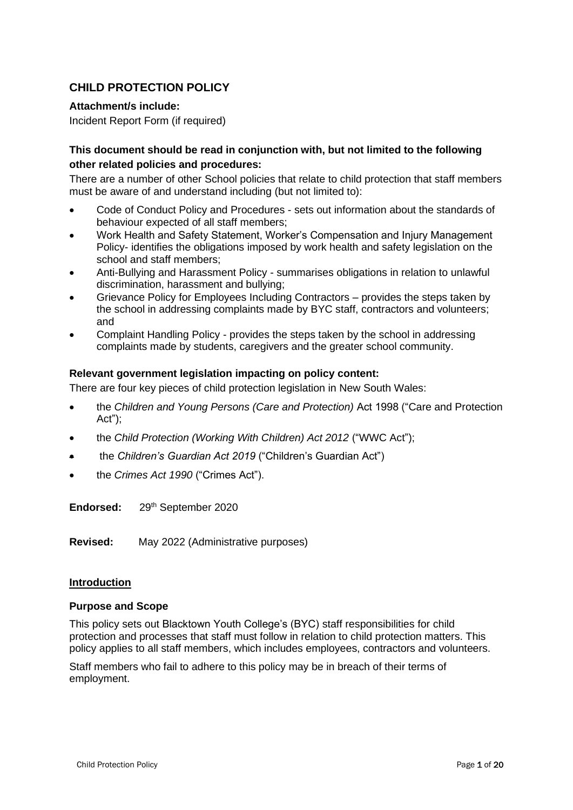## **CHILD PROTECTION POLICY**

## **Attachment/s include:**

Incident Report Form (if required)

## **This document should be read in conjunction with, but not limited to the following other related policies and procedures:**

There are a number of other School policies that relate to child protection that staff members must be aware of and understand including (but not limited to):

- Code of Conduct Policy and Procedures sets out information about the standards of behaviour expected of all staff members;
- Work Health and Safety Statement, Worker's Compensation and Injury Management Policy- identifies the obligations imposed by work health and safety legislation on the school and staff members;
- Anti-Bullying and Harassment Policy summarises obligations in relation to unlawful discrimination, harassment and bullying;
- Grievance Policy for Employees Including Contractors provides the steps taken by the school in addressing complaints made by BYC staff, contractors and volunteers; and
- Complaint Handling Policy provides the steps taken by the school in addressing complaints made by students, caregivers and the greater school community.

## **Relevant government legislation impacting on policy content:**

There are four key pieces of child protection legislation in New South Wales:

- the *Children and Young Persons (Care and Protection)* Act 1998 ("Care and Protection Act");
- the *Child Protection (Working With Children) Act 2012* ("WWC Act");
- the *Children's Guardian Act 2019* ("Children's Guardian Act")
- the *Crimes Act 1990* ("Crimes Act").

**Endorsed:** 29th September 2020

**Revised:** May 2022 (Administrative purposes)

#### **Introduction**

#### **Purpose and Scope**

This policy sets out Blacktown Youth College's (BYC) staff responsibilities for child protection and processes that staff must follow in relation to child protection matters. This policy applies to all staff members, which includes employees, contractors and volunteers.

Staff members who fail to adhere to this policy may be in breach of their terms of employment.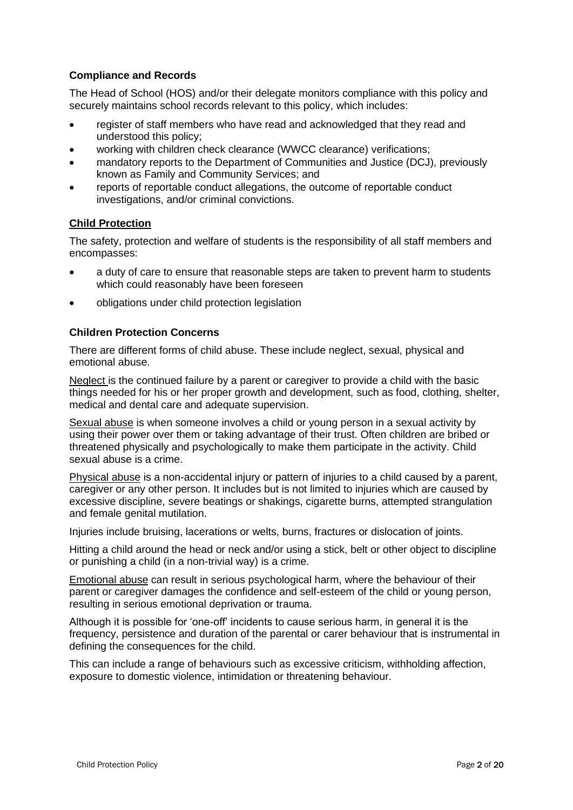## **Compliance and Records**

The Head of School (HOS) and/or their delegate monitors compliance with this policy and securely maintains school records relevant to this policy, which includes:

- register of staff members who have read and acknowledged that they read and understood this policy;
- working with children check clearance (WWCC clearance) verifications;
- mandatory reports to the Department of Communities and Justice (DCJ), previously known as Family and Community Services; and
- reports of reportable conduct allegations, the outcome of reportable conduct investigations, and/or criminal convictions.

## **Child Protection**

The safety, protection and welfare of students is the responsibility of all staff members and encompasses:

- a duty of care to ensure that reasonable steps are taken to prevent harm to students which could reasonably have been foreseen
- obligations under child protection legislation

## **Children Protection Concerns**

There are different forms of child abuse. These include neglect, sexual, physical and emotional abuse.

Neglect is the continued failure by a parent or caregiver to provide a child with the basic things needed for his or her proper growth and development, such as food, clothing, shelter, medical and dental care and adequate supervision.

Sexual abuse is when someone involves a child or young person in a sexual activity by using their power over them or taking advantage of their trust. Often children are bribed or threatened physically and psychologically to make them participate in the activity. Child sexual abuse is a crime.

Physical abuse is a non-accidental injury or pattern of injuries to a child caused by a parent, caregiver or any other person. It includes but is not limited to injuries which are caused by excessive discipline, severe beatings or shakings, cigarette burns, attempted strangulation and female genital mutilation.

Injuries include bruising, lacerations or welts, burns, fractures or dislocation of joints.

Hitting a child around the head or neck and/or using a stick, belt or other object to discipline or punishing a child (in a non-trivial way) is a crime.

Emotional abuse can result in serious psychological harm, where the behaviour of their parent or caregiver damages the confidence and self-esteem of the child or young person, resulting in serious emotional deprivation or trauma.

Although it is possible for 'one-off' incidents to cause serious harm, in general it is the frequency, persistence and duration of the parental or carer behaviour that is instrumental in defining the consequences for the child.

This can include a range of behaviours such as excessive criticism, withholding affection, exposure to domestic violence, intimidation or threatening behaviour.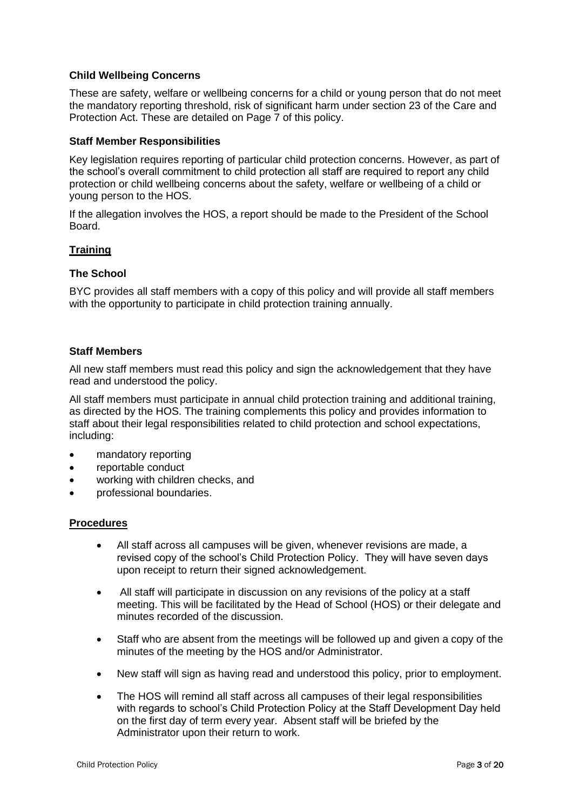## **Child Wellbeing Concerns**

These are safety, welfare or wellbeing concerns for a child or young person that do not meet the mandatory reporting threshold, risk of significant harm under section 23 of the Care and Protection Act. These are detailed on Page 7 of this policy.

#### **Staff Member Responsibilities**

Key legislation requires reporting of particular child protection concerns. However, as part of the school's overall commitment to child protection all staff are required to report any child protection or child wellbeing concerns about the safety, welfare or wellbeing of a child or young person to the HOS.

If the allegation involves the HOS, a report should be made to the President of the School Board.

## **Training**

## **The School**

BYC provides all staff members with a copy of this policy and will provide all staff members with the opportunity to participate in child protection training annually.

## **Staff Members**

All new staff members must read this policy and sign the acknowledgement that they have read and understood the policy.

All staff members must participate in annual child protection training and additional training, as directed by the HOS. The training complements this policy and provides information to staff about their legal responsibilities related to child protection and school expectations, including:

- mandatory reporting
- reportable conduct
- working with children checks, and
- professional boundaries.

#### **Procedures**

- All staff across all campuses will be given, whenever revisions are made, a revised copy of the school's Child Protection Policy. They will have seven days upon receipt to return their signed acknowledgement.
- All staff will participate in discussion on any revisions of the policy at a staff meeting. This will be facilitated by the Head of School (HOS) or their delegate and minutes recorded of the discussion.
- Staff who are absent from the meetings will be followed up and given a copy of the minutes of the meeting by the HOS and/or Administrator.
- New staff will sign as having read and understood this policy, prior to employment.
- The HOS will remind all staff across all campuses of their legal responsibilities with regards to school's Child Protection Policy at the Staff Development Day held on the first day of term every year. Absent staff will be briefed by the Administrator upon their return to work.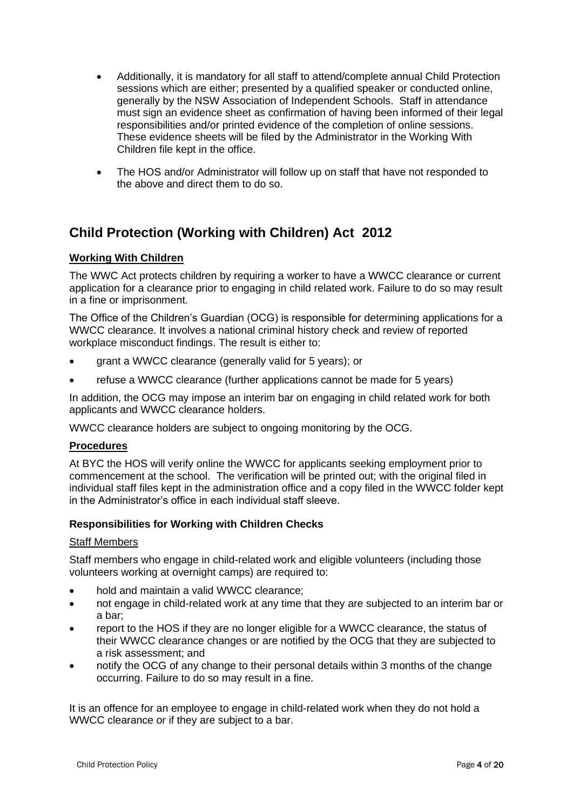- Additionally, it is mandatory for all staff to attend/complete annual Child Protection sessions which are either; presented by a qualified speaker or conducted online, generally by the NSW Association of Independent Schools. Staff in attendance must sign an evidence sheet as confirmation of having been informed of their legal responsibilities and/or printed evidence of the completion of online sessions. These evidence sheets will be filed by the Administrator in the Working With Children file kept in the office.
- The HOS and/or Administrator will follow up on staff that have not responded to the above and direct them to do so.

# **Child Protection (Working with Children) Act 2012**

## **Working With Children**

The WWC Act protects children by requiring a worker to have a WWCC clearance or current application for a clearance prior to engaging in child related work. Failure to do so may result in a fine or imprisonment.

The Office of the Children's Guardian (OCG) is responsible for determining applications for a WWCC clearance. It involves a national criminal history check and review of reported workplace misconduct findings. The result is either to:

- grant a WWCC clearance (generally valid for 5 years); or
- refuse a WWCC clearance (further applications cannot be made for 5 years)

In addition, the OCG may impose an interim bar on engaging in child related work for both applicants and WWCC clearance holders.

WWCC clearance holders are subject to ongoing monitoring by the OCG.

## **Procedures**

At BYC the HOS will verify online the WWCC for applicants seeking employment prior to commencement at the school. The verification will be printed out; with the original filed in individual staff files kept in the administration office and a copy filed in the WWCC folder kept in the Administrator's office in each individual staff sleeve.

## **Responsibilities for Working with Children Checks**

#### Staff Members

Staff members who engage in child-related work and eligible volunteers (including those volunteers working at overnight camps) are required to:

- hold and maintain a valid WWCC clearance;
- not engage in child-related work at any time that they are subjected to an interim bar or a bar;
- report to the HOS if they are no longer eligible for a WWCC clearance, the status of their WWCC clearance changes or are notified by the OCG that they are subjected to a risk assessment; and
- notify the OCG of any change to their personal details within 3 months of the change occurring. Failure to do so may result in a fine.

It is an offence for an employee to engage in child-related work when they do not hold a WWCC clearance or if they are subject to a bar.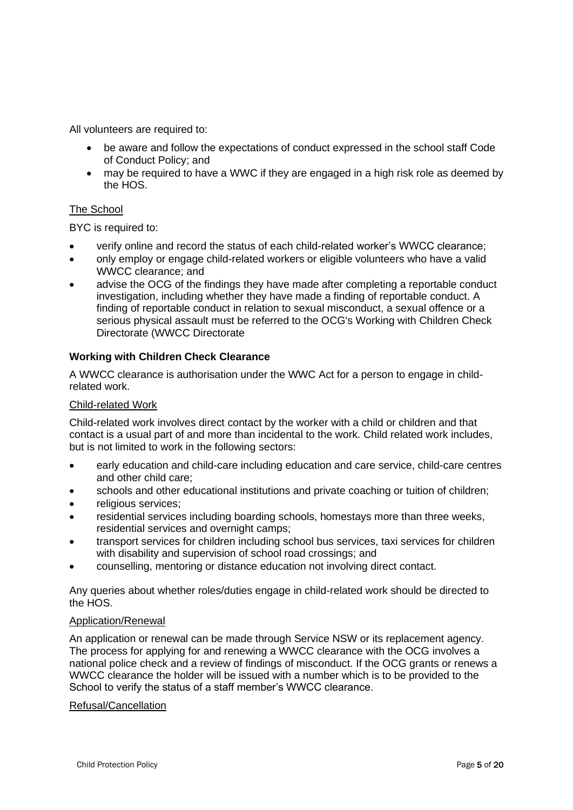All volunteers are required to:

- be aware and follow the expectations of conduct expressed in the school staff Code of Conduct Policy; and
- may be required to have a WWC if they are engaged in a high risk role as deemed by the HOS.

## The School

BYC is required to:

- verify online and record the status of each child-related worker's WWCC clearance;
- only employ or engage child-related workers or eligible volunteers who have a valid WWCC clearance; and
- advise the OCG of the findings they have made after completing a reportable conduct investigation, including whether they have made a finding of reportable conduct. A finding of reportable conduct in relation to sexual misconduct, a sexual offence or a serious physical assault must be referred to the OCG's Working with Children Check Directorate (WWCC Directorate

## **Working with Children Check Clearance**

A WWCC clearance is authorisation under the WWC Act for a person to engage in childrelated work.

#### Child-related Work

Child-related work involves direct contact by the worker with a child or children and that contact is a usual part of and more than incidental to the work. Child related work includes, but is not limited to work in the following sectors:

- early education and child-care including education and care service, child-care centres and other child care;
- schools and other educational institutions and private coaching or tuition of children;
- religious services;
- residential services including boarding schools, homestays more than three weeks, residential services and overnight camps;
- transport services for children including school bus services, taxi services for children with disability and supervision of school road crossings; and
- counselling, mentoring or distance education not involving direct contact.

Any queries about whether roles/duties engage in child-related work should be directed to the HOS.

## Application/Renewal

An application or renewal can be made through Service NSW or its replacement agency. The process for applying for and renewing a WWCC clearance with the OCG involves a national police check and a review of findings of misconduct. If the OCG grants or renews a WWCC clearance the holder will be issued with a number which is to be provided to the School to verify the status of a staff member's WWCC clearance.

#### Refusal/Cancellation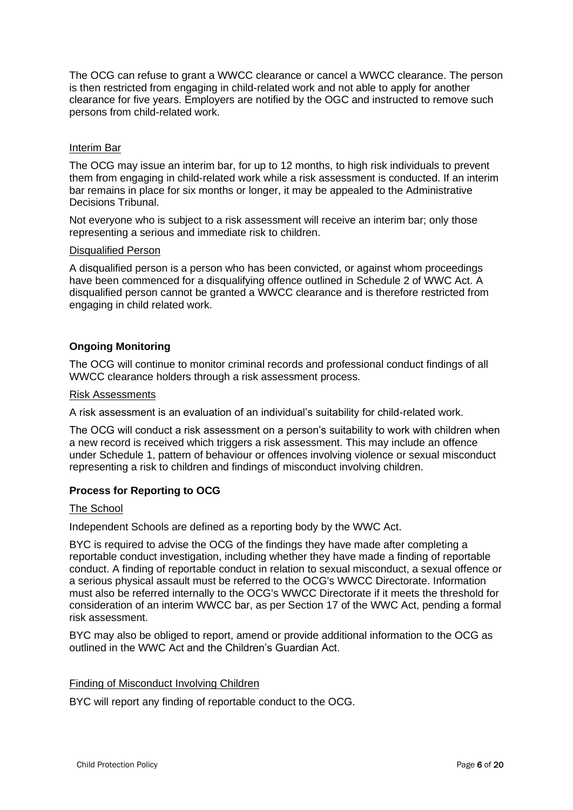The OCG can refuse to grant a WWCC clearance or cancel a WWCC clearance. The person is then restricted from engaging in child-related work and not able to apply for another clearance for five years. Employers are notified by the OGC and instructed to remove such persons from child-related work.

## Interim Bar

The OCG may issue an interim bar, for up to 12 months, to high risk individuals to prevent them from engaging in child-related work while a risk assessment is conducted. If an interim bar remains in place for six months or longer, it may be appealed to the Administrative Decisions Tribunal.

Not everyone who is subject to a risk assessment will receive an interim bar; only those representing a serious and immediate risk to children.

#### Disqualified Person

A disqualified person is a person who has been convicted, or against whom proceedings have been commenced for a disqualifying offence outlined in Schedule 2 of WWC Act. A disqualified person cannot be granted a WWCC clearance and is therefore restricted from engaging in child related work.

## **Ongoing Monitoring**

The OCG will continue to monitor criminal records and professional conduct findings of all WWCC clearance holders through a risk assessment process.

#### Risk Assessments

A risk assessment is an evaluation of an individual's suitability for child-related work.

The OCG will conduct a risk assessment on a person's suitability to work with children when a new record is received which triggers a risk assessment. This may include an offence under Schedule 1, pattern of behaviour or offences involving violence or sexual misconduct representing a risk to children and findings of misconduct involving children.

#### **Process for Reporting to OCG**

#### The School

Independent Schools are defined as a reporting body by the WWC Act.

BYC is required to advise the OCG of the findings they have made after completing a reportable conduct investigation, including whether they have made a finding of reportable conduct. A finding of reportable conduct in relation to sexual misconduct, a sexual offence or a serious physical assault must be referred to the OCG's WWCC Directorate. Information must also be referred internally to the OCG's WWCC Directorate if it meets the threshold for consideration of an interim WWCC bar, as per Section 17 of the WWC Act, pending a formal risk assessment.

BYC may also be obliged to report, amend or provide additional information to the OCG as outlined in the WWC Act and the Children's Guardian Act.

#### Finding of Misconduct Involving Children

BYC will report any finding of reportable conduct to the OCG.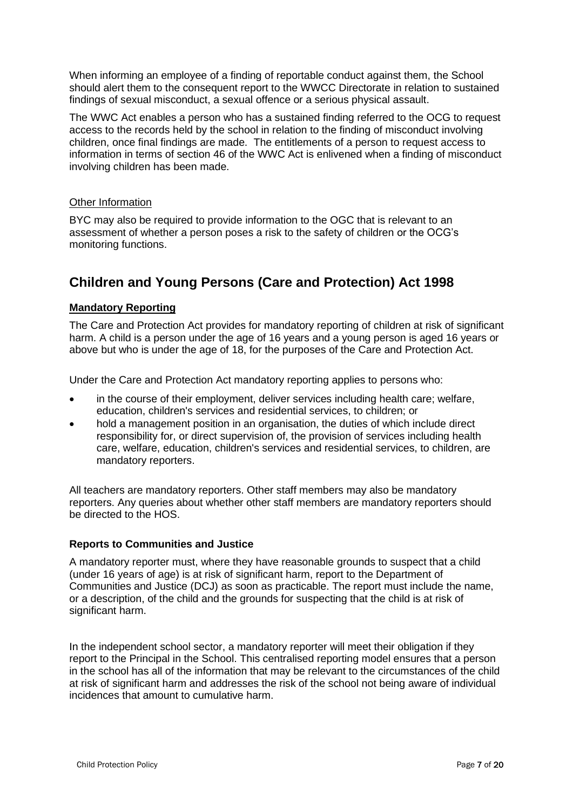When informing an employee of a finding of reportable conduct against them, the School should alert them to the consequent report to the WWCC Directorate in relation to sustained findings of sexual misconduct, a sexual offence or a serious physical assault.

The WWC Act enables a person who has a sustained finding referred to the OCG to request access to the records held by the school in relation to the finding of misconduct involving children, once final findings are made. The entitlements of a person to request access to information in terms of section 46 of the WWC Act is enlivened when a finding of misconduct involving children has been made.

## Other Information

BYC may also be required to provide information to the OGC that is relevant to an assessment of whether a person poses a risk to the safety of children or the OCG's monitoring functions.

# **Children and Young Persons (Care and Protection) Act 1998**

## **Mandatory Reporting**

The Care and Protection Act provides for mandatory reporting of children at risk of significant harm. A child is a person under the age of 16 years and a young person is aged 16 years or above but who is under the age of 18, for the purposes of the Care and Protection Act.

Under the Care and Protection Act mandatory reporting applies to persons who:

- in the course of their employment, deliver services including health care; welfare, education, children's services and residential services, to children; or
- hold a management position in an organisation, the duties of which include direct responsibility for, or direct supervision of, the provision of services including health care, welfare, education, children's services and residential services, to children, are mandatory reporters.

All teachers are mandatory reporters. Other staff members may also be mandatory reporters. Any queries about whether other staff members are mandatory reporters should be directed to the HOS.

## **Reports to Communities and Justice**

A mandatory reporter must, where they have reasonable grounds to suspect that a child (under 16 years of age) is at risk of significant harm, report to the Department of Communities and Justice (DCJ) as soon as practicable. The report must include the name, or a description, of the child and the grounds for suspecting that the child is at risk of significant harm.

In the independent school sector, a mandatory reporter will meet their obligation if they report to the Principal in the School. This centralised reporting model ensures that a person in the school has all of the information that may be relevant to the circumstances of the child at risk of significant harm and addresses the risk of the school not being aware of individual incidences that amount to cumulative harm.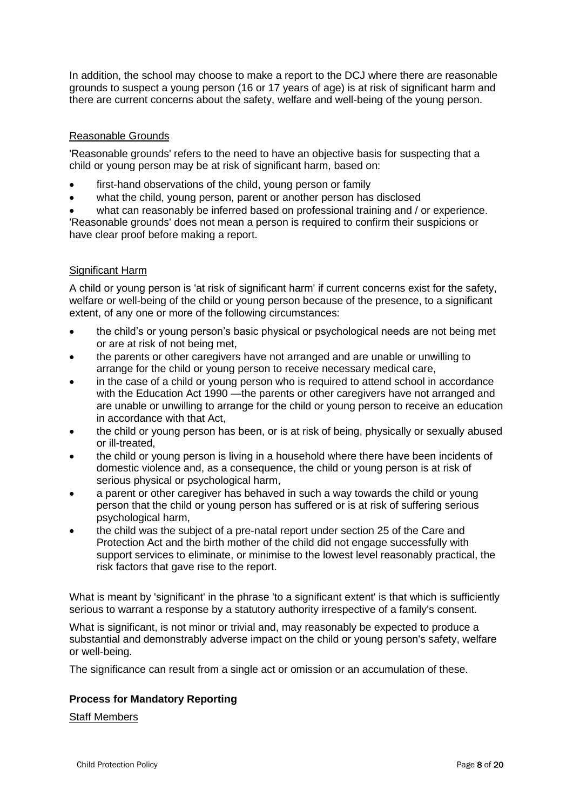In addition, the school may choose to make a report to the DCJ where there are reasonable grounds to suspect a young person (16 or 17 years of age) is at risk of significant harm and there are current concerns about the safety, welfare and well-being of the young person.

## Reasonable Grounds

'Reasonable grounds' refers to the need to have an objective basis for suspecting that a child or young person may be at risk of significant harm, based on:

- first-hand observations of the child, young person or family
- what the child, young person, parent or another person has disclosed

• what can reasonably be inferred based on professional training and / or experience. 'Reasonable grounds' does not mean a person is required to confirm their suspicions or have clear proof before making a report.

## Significant Harm

A child or young person is 'at risk of significant harm' if current concerns exist for the safety, welfare or well-being of the child or young person because of the presence, to a significant extent, of any one or more of the following circumstances:

- the child's or young person's basic physical or psychological needs are not being met or are at risk of not being met,
- the parents or other caregivers have not arranged and are unable or unwilling to arrange for the child or young person to receive necessary medical care,
- in the case of a child or young person who is required to attend school in accordance with the Education Act 1990 —the parents or other caregivers have not arranged and are unable or unwilling to arrange for the child or young person to receive an education in accordance with that Act,
- the child or young person has been, or is at risk of being, physically or sexually abused or ill-treated,
- the child or young person is living in a household where there have been incidents of domestic violence and, as a consequence, the child or young person is at risk of serious physical or psychological harm,
- a parent or other caregiver has behaved in such a way towards the child or young person that the child or young person has suffered or is at risk of suffering serious psychological harm,
- the child was the subject of a pre-natal report under section 25 of the Care and Protection Act and the birth mother of the child did not engage successfully with support services to eliminate, or minimise to the lowest level reasonably practical, the risk factors that gave rise to the report.

What is meant by 'significant' in the phrase 'to a significant extent' is that which is sufficiently serious to warrant a response by a statutory authority irrespective of a family's consent.

What is significant, is not minor or trivial and, may reasonably be expected to produce a substantial and demonstrably adverse impact on the child or young person's safety, welfare or well-being.

The significance can result from a single act or omission or an accumulation of these.

## **Process for Mandatory Reporting**

#### Staff Members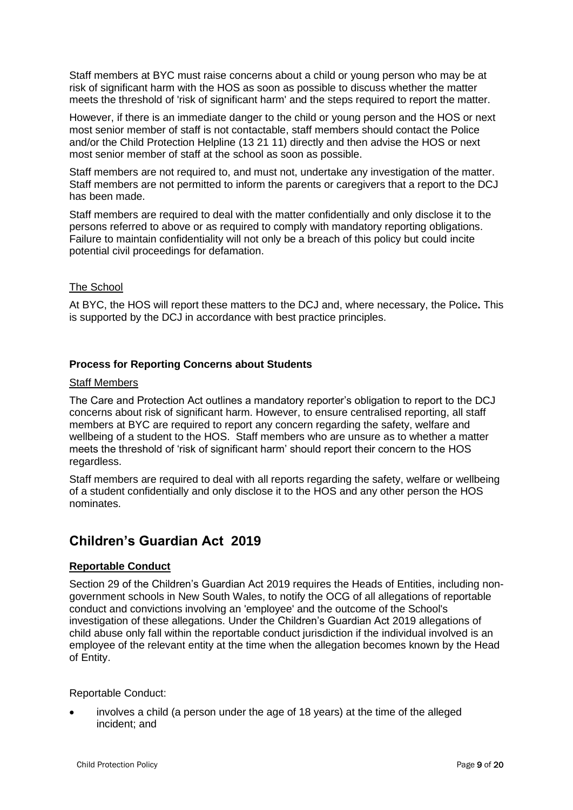Staff members at BYC must raise concerns about a child or young person who may be at risk of significant harm with the HOS as soon as possible to discuss whether the matter meets the threshold of 'risk of significant harm' and the steps required to report the matter.

However, if there is an immediate danger to the child or young person and the HOS or next most senior member of staff is not contactable, staff members should contact the Police and/or the Child Protection Helpline (13 21 11) directly and then advise the HOS or next most senior member of staff at the school as soon as possible.

Staff members are not required to, and must not, undertake any investigation of the matter. Staff members are not permitted to inform the parents or caregivers that a report to the DCJ has been made.

Staff members are required to deal with the matter confidentially and only disclose it to the persons referred to above or as required to comply with mandatory reporting obligations. Failure to maintain confidentiality will not only be a breach of this policy but could incite potential civil proceedings for defamation.

## The School

At BYC, the HOS will report these matters to the DCJ and, where necessary, the Police**.** This is supported by the DCJ in accordance with best practice principles.

## **Process for Reporting Concerns about Students**

## Staff Members

The Care and Protection Act outlines a mandatory reporter's obligation to report to the DCJ concerns about risk of significant harm. However, to ensure centralised reporting, all staff members at BYC are required to report any concern regarding the safety, welfare and wellbeing of a student to the HOS. Staff members who are unsure as to whether a matter meets the threshold of 'risk of significant harm' should report their concern to the HOS regardless.

Staff members are required to deal with all reports regarding the safety, welfare or wellbeing of a student confidentially and only disclose it to the HOS and any other person the HOS nominates.

## **Children's Guardian Act 2019**

## **Reportable Conduct**

Section 29 of the Children's Guardian Act 2019 requires the Heads of Entities, including nongovernment schools in New South Wales, to notify the OCG of all allegations of reportable conduct and convictions involving an 'employee' and the outcome of the School's investigation of these allegations. Under the Children's Guardian Act 2019 allegations of child abuse only fall within the reportable conduct jurisdiction if the individual involved is an employee of the relevant entity at the time when the allegation becomes known by the Head of Entity.

#### Reportable Conduct:

• involves a child (a person under the age of 18 years) at the time of the alleged incident; and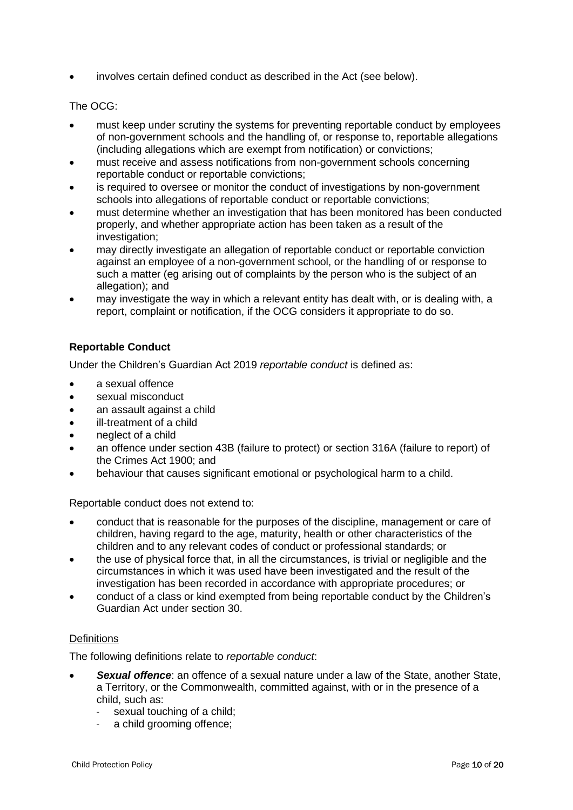involves certain defined conduct as described in the Act (see below).

## The OCG:

- must keep under scrutiny the systems for preventing reportable conduct by employees of non-government schools and the handling of, or response to, reportable allegations (including allegations which are exempt from notification) or convictions;
- must receive and assess notifications from non-government schools concerning reportable conduct or reportable convictions;
- is required to oversee or monitor the conduct of investigations by non-government schools into allegations of reportable conduct or reportable convictions;
- must determine whether an investigation that has been monitored has been conducted properly, and whether appropriate action has been taken as a result of the investigation;
- may directly investigate an allegation of reportable conduct or reportable conviction against an employee of a non-government school, or the handling of or response to such a matter (eg arising out of complaints by the person who is the subject of an allegation); and
- may investigate the way in which a relevant entity has dealt with, or is dealing with, a report, complaint or notification, if the OCG considers it appropriate to do so.

## **Reportable Conduct**

Under the Children's Guardian Act 2019 *reportable conduct* is defined as:

- a sexual offence
- sexual misconduct
- an assault against a child
- ill-treatment of a child
- neglect of a child
- an offence under section 43B (failure to protect) or section 316A (failure to report) of the Crimes Act 1900; and
- behaviour that causes significant emotional or psychological harm to a child.

Reportable conduct does not extend to:

- conduct that is reasonable for the purposes of the discipline, management or care of children, having regard to the age, maturity, health or other characteristics of the children and to any relevant codes of conduct or professional standards; or
- the use of physical force that, in all the circumstances, is trivial or negligible and the circumstances in which it was used have been investigated and the result of the investigation has been recorded in accordance with appropriate procedures; or
- conduct of a class or kind exempted from being reportable conduct by the Children's Guardian Act under section 30.

## **Definitions**

The following definitions relate to *reportable conduct*:

- *Sexual offence*: an offence of a sexual nature under a law of the State, another State, a Territory, or the Commonwealth, committed against, with or in the presence of a child, such as:
	- sexual touching of a child;
	- a child grooming offence;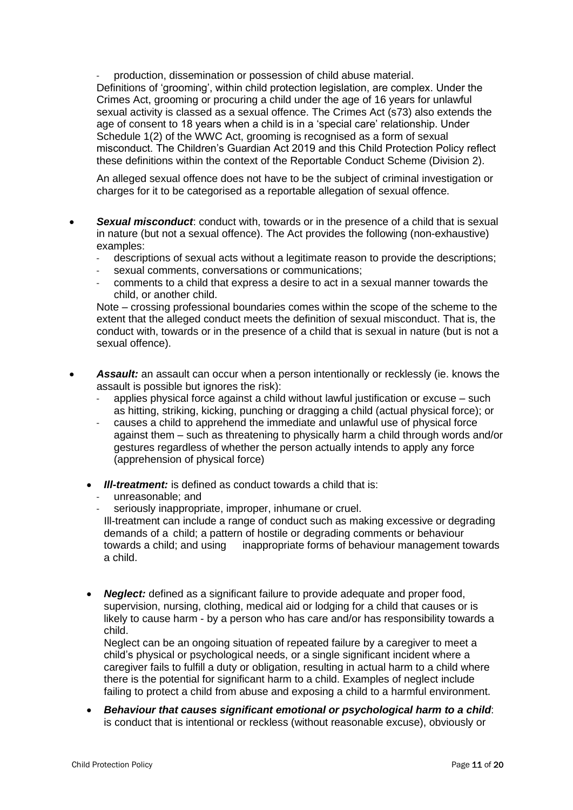- production, dissemination or possession of child abuse material. Definitions of 'grooming', within child protection legislation, are complex. Under the Crimes Act, grooming or procuring a child under the age of 16 years for unlawful sexual activity is classed as a sexual offence. The Crimes Act (s73) also extends the age of consent to 18 years when a child is in a 'special care' relationship. Under Schedule 1(2) of the WWC Act, grooming is recognised as a form of sexual misconduct. The Children's Guardian Act 2019 and this Child Protection Policy reflect these definitions within the context of the Reportable Conduct Scheme (Division 2).

An alleged sexual offence does not have to be the subject of criminal investigation or charges for it to be categorised as a reportable allegation of sexual offence.

- **Sexual misconduct**: conduct with, towards or in the presence of a child that is sexual in nature (but not a sexual offence). The Act provides the following (non-exhaustive) examples:
	- descriptions of sexual acts without a legitimate reason to provide the descriptions;
	- sexual comments, conversations or communications;
	- comments to a child that express a desire to act in a sexual manner towards the child, or another child.

Note – crossing professional boundaries comes within the scope of the scheme to the extent that the alleged conduct meets the definition of sexual misconduct. That is, the conduct with, towards or in the presence of a child that is sexual in nature (but is not a sexual offence).

- *Assault:* an assault can occur when a person intentionally or recklessly (ie. knows the assault is possible but ignores the risk):
	- applies physical force against a child without lawful justification or excuse such as hitting, striking, kicking, punching or dragging a child (actual physical force); or
	- causes a child to apprehend the immediate and unlawful use of physical force against them – such as threatening to physically harm a child through words and/or gestures regardless of whether the person actually intends to apply any force (apprehension of physical force)
	- *Ill-treatment:* is defined as conduct towards a child that is:
		- unreasonable; and
		- seriously inappropriate, improper, inhumane or cruel.
		- Ill-treatment can include a range of conduct such as making excessive or degrading demands of a child; a pattern of hostile or degrading comments or behaviour towards a child; and using inappropriate forms of behaviour management towards a child.
	- *Neglect:* defined as a significant failure to provide adequate and proper food, supervision, nursing, clothing, medical aid or lodging for a child that causes or is likely to cause harm - by a person who has care and/or has responsibility towards a child.

Neglect can be an ongoing situation of repeated failure by a caregiver to meet a child's physical or psychological needs, or a single significant incident where a caregiver fails to fulfill a duty or obligation, resulting in actual harm to a child where there is the potential for significant harm to a child. Examples of neglect include failing to protect a child from abuse and exposing a child to a harmful environment.

• *Behaviour that causes significant emotional or psychological harm to a child*: is conduct that is intentional or reckless (without reasonable excuse), obviously or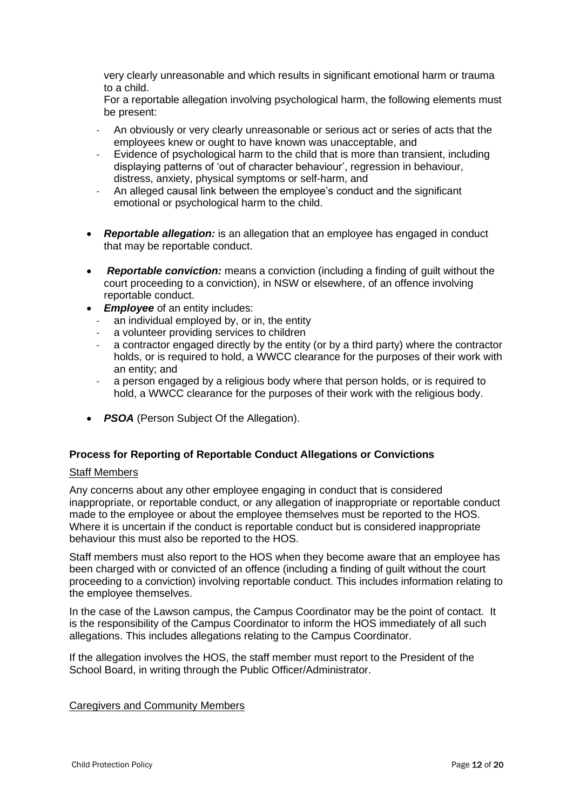very clearly unreasonable and which results in significant emotional harm or trauma to a child.

For a reportable allegation involving psychological harm, the following elements must be present:

- An obviously or very clearly unreasonable or serious act or series of acts that the employees knew or ought to have known was unacceptable, and
- Evidence of psychological harm to the child that is more than transient, including displaying patterns of 'out of character behaviour', regression in behaviour, distress, anxiety, physical symptoms or self-harm, and
- An alleged causal link between the employee's conduct and the significant emotional or psychological harm to the child.
- *Reportable allegation:* is an allegation that an employee has engaged in conduct that may be reportable conduct.
- *Reportable conviction:* means a conviction (including a finding of guilt without the court proceeding to a conviction), in NSW or elsewhere, of an offence involving reportable conduct.
- *Employee* of an entity includes:
	- an individual employed by, or in, the entity
	- a volunteer providing services to children
	- a contractor engaged directly by the entity (or by a third party) where the contractor holds, or is required to hold, a WWCC clearance for the purposes of their work with an entity; and
	- a person engaged by a religious body where that person holds, or is required to hold, a WWCC clearance for the purposes of their work with the religious body.
- *PSOA* (Person Subject Of the Allegation).

#### **Process for Reporting of Reportable Conduct Allegations or Convictions**

#### Staff Members

Any concerns about any other employee engaging in conduct that is considered inappropriate, or reportable conduct, or any allegation of inappropriate or reportable conduct made to the employee or about the employee themselves must be reported to the HOS. Where it is uncertain if the conduct is reportable conduct but is considered inappropriate behaviour this must also be reported to the HOS.

Staff members must also report to the HOS when they become aware that an employee has been charged with or convicted of an offence (including a finding of guilt without the court proceeding to a conviction) involving reportable conduct. This includes information relating to the employee themselves.

In the case of the Lawson campus, the Campus Coordinator may be the point of contact. It is the responsibility of the Campus Coordinator to inform the HOS immediately of all such allegations. This includes allegations relating to the Campus Coordinator.

If the allegation involves the HOS, the staff member must report to the President of the School Board, in writing through the Public Officer/Administrator.

#### Caregivers and Community Members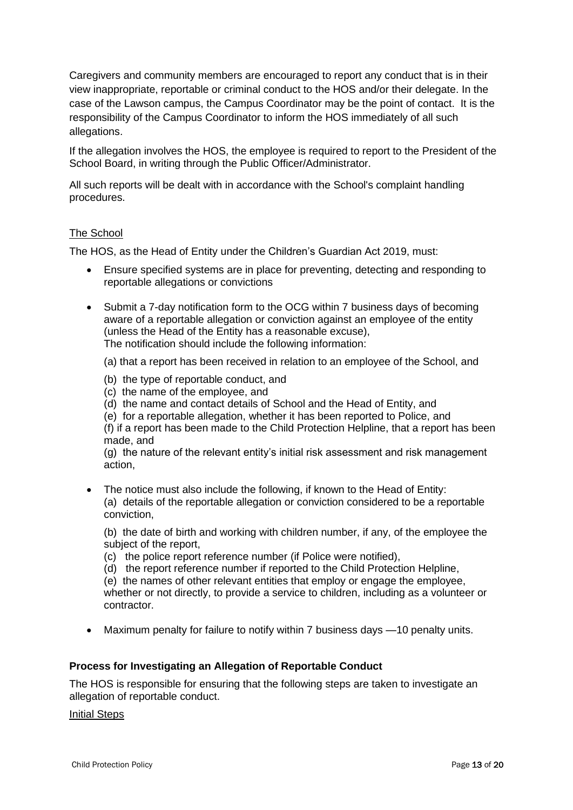Caregivers and community members are encouraged to report any conduct that is in their view inappropriate, reportable or criminal conduct to the HOS and/or their delegate. In the case of the Lawson campus, the Campus Coordinator may be the point of contact. It is the responsibility of the Campus Coordinator to inform the HOS immediately of all such allegations.

If the allegation involves the HOS, the employee is required to report to the President of the School Board, in writing through the Public Officer/Administrator.

All such reports will be dealt with in accordance with the School's complaint handling procedures.

## The School

The HOS, as the Head of Entity under the Children's Guardian Act 2019, must:

- Ensure specified systems are in place for preventing, detecting and responding to reportable allegations or convictions
- Submit a 7-day notification form to the OCG within 7 business days of becoming aware of a reportable allegation or conviction against an employee of the entity (unless the Head of the Entity has a reasonable excuse), The notification should include the following information:

(a) that a report has been received in relation to an employee of the School, and

- (b) the type of reportable conduct, and
- (c) the name of the employee, and
- (d) the name and contact details of School and the Head of Entity, and
- (e) for a reportable allegation, whether it has been reported to Police, and

(f) if a report has been made to the Child Protection Helpline, that a report has been made, and

(g) the nature of the relevant entity's initial risk assessment and risk management action,

• The notice must also include the following, if known to the Head of Entity: (a) details of the reportable allegation or conviction considered to be a reportable conviction,

(b) the date of birth and working with children number, if any, of the employee the subject of the report,

- (c) the police report reference number (if Police were notified),
- (d) the report reference number if reported to the Child Protection Helpline,

(e) the names of other relevant entities that employ or engage the employee, whether or not directly, to provide a service to children, including as a volunteer or contractor.

• Maximum penalty for failure to notify within 7 business days —10 penalty units.

## **Process for Investigating an Allegation of Reportable Conduct**

The HOS is responsible for ensuring that the following steps are taken to investigate an allegation of reportable conduct.

Initial Steps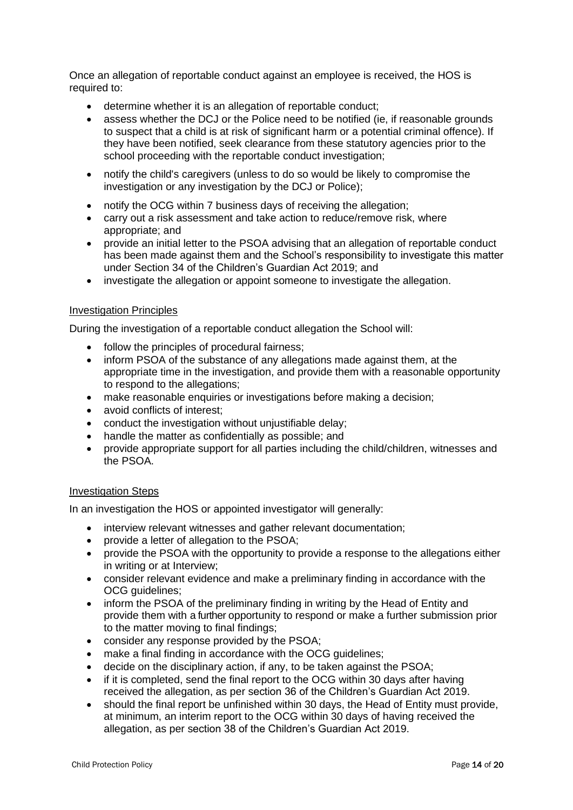Once an allegation of reportable conduct against an employee is received, the HOS is required to:

- determine whether it is an allegation of reportable conduct;
- assess whether the DCJ or the Police need to be notified (ie, if reasonable grounds to suspect that a child is at risk of significant harm or a potential criminal offence). If they have been notified, seek clearance from these statutory agencies prior to the school proceeding with the reportable conduct investigation;
- notify the child's caregivers (unless to do so would be likely to compromise the investigation or any investigation by the DCJ or Police);
- notify the OCG within 7 business days of receiving the allegation;
- carry out a risk assessment and take action to reduce/remove risk, where appropriate; and
- provide an initial letter to the PSOA advising that an allegation of reportable conduct has been made against them and the School's responsibility to investigate this matter under Section 34 of the Children's Guardian Act 2019; and
- investigate the allegation or appoint someone to investigate the allegation.

#### Investigation Principles

During the investigation of a reportable conduct allegation the School will:

- follow the principles of procedural fairness;
- inform PSOA of the substance of any allegations made against them, at the appropriate time in the investigation, and provide them with a reasonable opportunity to respond to the allegations;
- make reasonable enquiries or investigations before making a decision;
- avoid conflicts of interest;
- conduct the investigation without unjustifiable delay;
- handle the matter as confidentially as possible; and
- provide appropriate support for all parties including the child/children, witnesses and the PSOA.

#### Investigation Steps

In an investigation the HOS or appointed investigator will generally:

- interview relevant witnesses and gather relevant documentation;
- provide a letter of allegation to the PSOA;
- provide the PSOA with the opportunity to provide a response to the allegations either in writing or at Interview;
- consider relevant evidence and make a preliminary finding in accordance with the OCG guidelines;
- inform the PSOA of the preliminary finding in writing by the Head of Entity and provide them with a further opportunity to respond or make a further submission prior to the matter moving to final findings;
- consider any response provided by the PSOA;
- make a final finding in accordance with the OCG quidelines:
- decide on the disciplinary action, if any, to be taken against the PSOA;
- if it is completed, send the final report to the OCG within 30 days after having received the allegation, as per section 36 of the Children's Guardian Act 2019.
- should the final report be unfinished within 30 days, the Head of Entity must provide. at minimum, an interim report to the OCG within 30 days of having received the allegation, as per section 38 of the Children's Guardian Act 2019.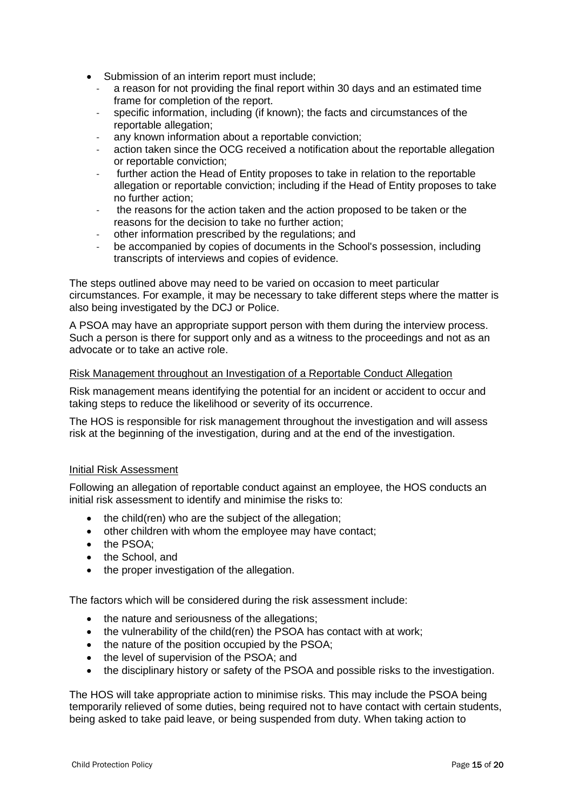- Submission of an interim report must include;
	- a reason for not providing the final report within 30 days and an estimated time frame for completion of the report.
	- specific information, including (if known); the facts and circumstances of the reportable allegation;
	- any known information about a reportable conviction;
	- action taken since the OCG received a notification about the reportable allegation or reportable conviction;
	- further action the Head of Entity proposes to take in relation to the reportable allegation or reportable conviction; including if the Head of Entity proposes to take no further action;
	- the reasons for the action taken and the action proposed to be taken or the reasons for the decision to take no further action;
	- other information prescribed by the regulations; and
	- be accompanied by copies of documents in the School's possession, including transcripts of interviews and copies of evidence.

The steps outlined above may need to be varied on occasion to meet particular circumstances. For example, it may be necessary to take different steps where the matter is also being investigated by the DCJ or Police.

A PSOA may have an appropriate support person with them during the interview process. Such a person is there for support only and as a witness to the proceedings and not as an advocate or to take an active role.

#### Risk Management throughout an Investigation of a Reportable Conduct Allegation

Risk management means identifying the potential for an incident or accident to occur and taking steps to reduce the likelihood or severity of its occurrence.

The HOS is responsible for risk management throughout the investigation and will assess risk at the beginning of the investigation, during and at the end of the investigation.

#### Initial Risk Assessment

Following an allegation of reportable conduct against an employee, the HOS conducts an initial risk assessment to identify and minimise the risks to:

- the child(ren) who are the subject of the allegation;
- other children with whom the employee may have contact;
- the PSOA:
- the School, and
- the proper investigation of the allegation.

The factors which will be considered during the risk assessment include:

- the nature and seriousness of the allegations;
- the vulnerability of the child(ren) the PSOA has contact with at work;
- the nature of the position occupied by the PSOA;
- the level of supervision of the PSOA; and
- the disciplinary history or safety of the PSOA and possible risks to the investigation.

The HOS will take appropriate action to minimise risks. This may include the PSOA being temporarily relieved of some duties, being required not to have contact with certain students, being asked to take paid leave, or being suspended from duty. When taking action to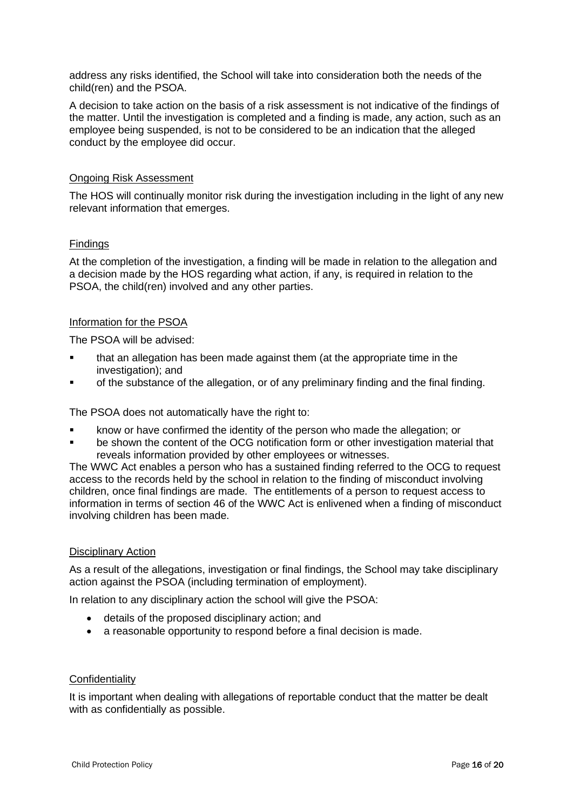address any risks identified, the School will take into consideration both the needs of the child(ren) and the PSOA.

A decision to take action on the basis of a risk assessment is not indicative of the findings of the matter. Until the investigation is completed and a finding is made, any action, such as an employee being suspended, is not to be considered to be an indication that the alleged conduct by the employee did occur.

#### Ongoing Risk Assessment

The HOS will continually monitor risk during the investigation including in the light of any new relevant information that emerges.

## Findings

At the completion of the investigation, a finding will be made in relation to the allegation and a decision made by the HOS regarding what action, if any, is required in relation to the PSOA, the child(ren) involved and any other parties.

#### Information for the PSOA

The PSOA will be advised:

- that an allegation has been made against them (at the appropriate time in the investigation); and
- of the substance of the allegation, or of any preliminary finding and the final finding.

The PSOA does not automatically have the right to:

- know or have confirmed the identity of the person who made the allegation; or
- be shown the content of the OCG notification form or other investigation material that reveals information provided by other employees or witnesses.

The WWC Act enables a person who has a sustained finding referred to the OCG to request access to the records held by the school in relation to the finding of misconduct involving children, once final findings are made. The entitlements of a person to request access to information in terms of section 46 of the WWC Act is enlivened when a finding of misconduct involving children has been made.

#### Disciplinary Action

As a result of the allegations, investigation or final findings, the School may take disciplinary action against the PSOA (including termination of employment).

In relation to any disciplinary action the school will give the PSOA:

- details of the proposed disciplinary action; and
- a reasonable opportunity to respond before a final decision is made.

#### **Confidentiality**

It is important when dealing with allegations of reportable conduct that the matter be dealt with as confidentially as possible.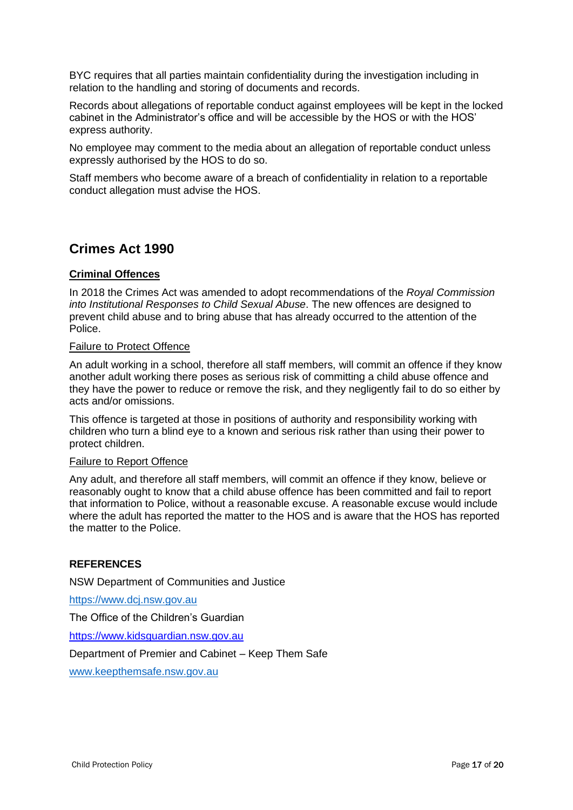BYC requires that all parties maintain confidentiality during the investigation including in relation to the handling and storing of documents and records.

Records about allegations of reportable conduct against employees will be kept in the locked cabinet in the Administrator's office and will be accessible by the HOS or with the HOS' express authority.

No employee may comment to the media about an allegation of reportable conduct unless expressly authorised by the HOS to do so.

Staff members who become aware of a breach of confidentiality in relation to a reportable conduct allegation must advise the HOS.

## **Crimes Act 1990**

## **Criminal Offences**

In 2018 the Crimes Act was amended to adopt recommendations of the *Royal Commission into Institutional Responses to Child Sexual Abuse*. The new offences are designed to prevent child abuse and to bring abuse that has already occurred to the attention of the Police.

#### Failure to Protect Offence

An adult working in a school, therefore all staff members, will commit an offence if they know another adult working there poses as serious risk of committing a child abuse offence and they have the power to reduce or remove the risk, and they negligently fail to do so either by acts and/or omissions.

This offence is targeted at those in positions of authority and responsibility working with children who turn a blind eye to a known and serious risk rather than using their power to protect children.

#### Failure to Report Offence

Any adult, and therefore all staff members, will commit an offence if they know, believe or reasonably ought to know that a child abuse offence has been committed and fail to report that information to Police, without a reasonable excuse. A reasonable excuse would include where the adult has reported the matter to the HOS and is aware that the HOS has reported the matter to the Police.

## **REFERENCES**

NSW Department of Communities and Justice

[https://www.dcj.nsw.gov.au](https://www.dcj.nsw.gov.au/)

The Office of the Children's Guardian

[https://www.kidsguardian.nsw.gov.au](https://www.kidsguardian.nsw.gov.au/)

Department of Premier and Cabinet – Keep Them Safe

[www.keepthemsafe.nsw.gov.au](http://www.keepthemsafe.nsw.gov.au/)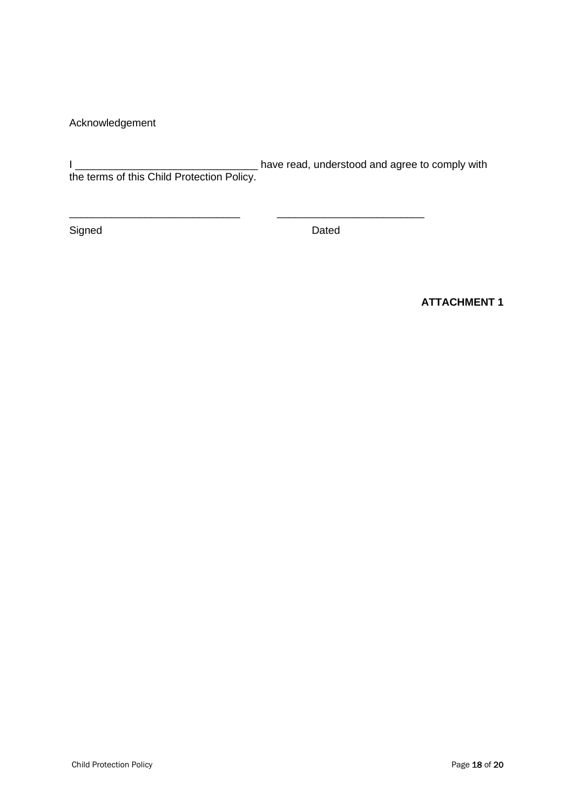Acknowledgement

I \_\_\_\_\_\_\_\_\_\_\_\_\_\_\_\_\_\_\_\_\_\_\_\_\_\_\_\_\_\_\_ have read, understood and agree to comply with the terms of this Child Protection Policy.

\_\_\_\_\_\_\_\_\_\_\_\_\_\_\_\_\_\_\_\_\_\_\_\_\_\_\_\_\_ \_\_\_\_\_\_\_\_\_\_\_\_\_\_\_\_\_\_\_\_\_\_\_\_\_

Signed Dated

**ATTACHMENT 1**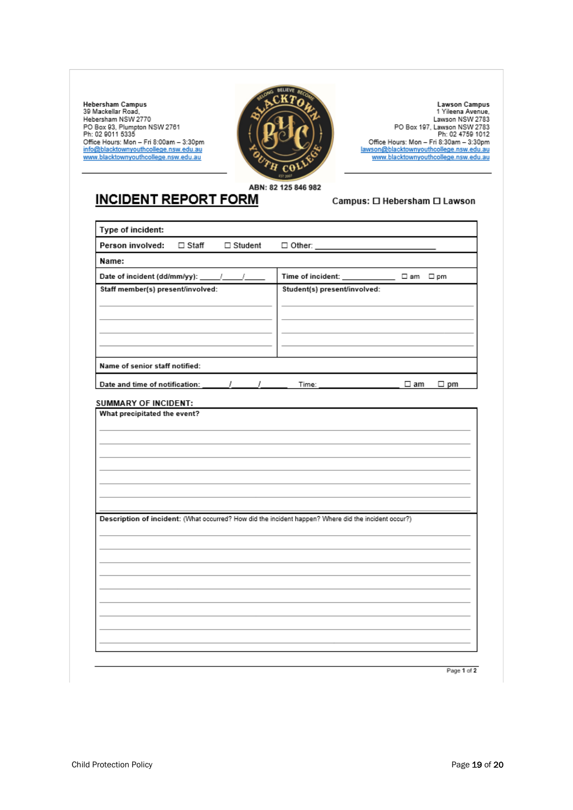Hebersham Campus<br>39 Mackellar Road, Hebersham NSW 2770 Hebersham<br>PD Box 93, Plumpton NSW 2761<br>Ph: 02 9011 5335<br>Office Hours: Mon – Fri 8:00am – 3:30pm<br>info@blacktownyouthcollege.nsw.edu.au<br>www.blacktownyouthcollege.nsw.edu.au



Lawson Campus<br>1 Yileena Avenue, Lawson NSW 2783 PO Box 197, Lawson NSW 2783<br>Ph: 02 4759 1012 Office Hours: Mon - Fri 8:30am - 3:30pm<br><u>lawson@blacktownyouthcollege.nsw.edu.au</u><br>www.blacktownyouthcollege.nsw.edu.au

ABN: 82 125 846 982

# **INCIDENT REPORT FORM**

#### Campus: 0 Hebersham 0 Lawson

| Type of incident:                                                                                    |                |                                              |           |              |
|------------------------------------------------------------------------------------------------------|----------------|----------------------------------------------|-----------|--------------|
| Person involved:<br>$\Box$ Staff                                                                     | $\Box$ Student | $\Box$ Other: _______                        |           |              |
| Name:                                                                                                |                |                                              |           |              |
| Date of incident (dd/mm/yy): _____/ _____/                                                           |                | Time of incident: ________________ □ am □ pm |           |              |
| Staff member(s) present/involved:                                                                    |                | Student(s) present/involved:                 |           |              |
|                                                                                                      |                |                                              |           |              |
|                                                                                                      |                |                                              |           |              |
|                                                                                                      |                |                                              |           |              |
|                                                                                                      |                |                                              |           |              |
| Name of senior staff notified:                                                                       |                |                                              |           |              |
|                                                                                                      |                | Time:                                        | $\Box$ am | $\square$ pm |
| SUMMARY OF INCIDENT:                                                                                 |                |                                              |           |              |
|                                                                                                      |                |                                              |           |              |
| Description of incident: (What occurred? How did the incident happen? Where did the incident occur?) |                |                                              |           |              |
|                                                                                                      |                |                                              |           |              |
|                                                                                                      |                |                                              |           |              |
|                                                                                                      |                |                                              |           |              |
|                                                                                                      |                |                                              |           |              |
|                                                                                                      |                |                                              |           |              |
|                                                                                                      |                |                                              |           |              |
|                                                                                                      |                |                                              |           |              |
|                                                                                                      |                |                                              |           |              |